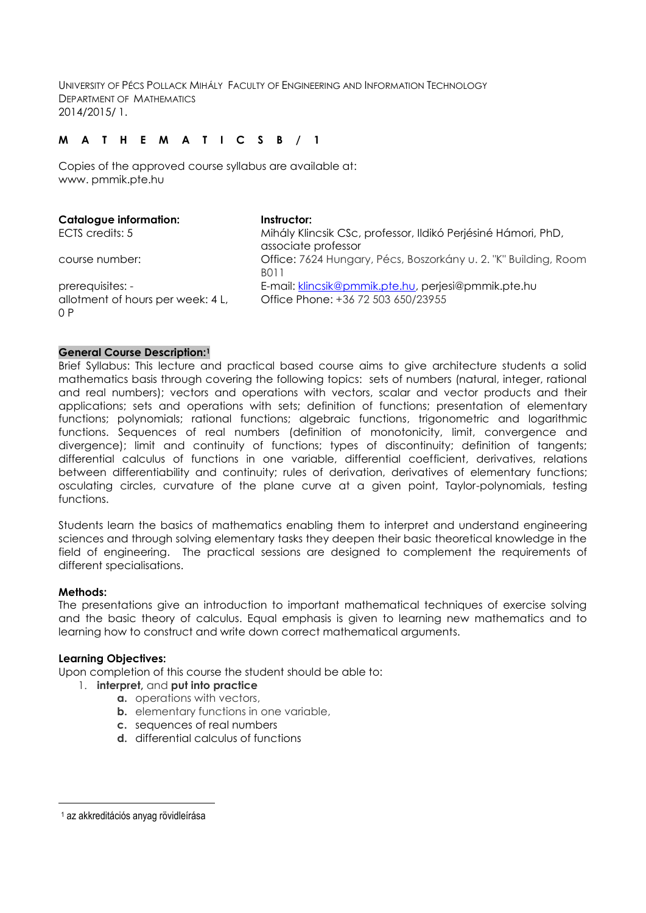UNIVERSITY OF PÉCS POLLACK MIHÁLY FACULTY OF ENGINEERING AND INFORMATION TECHNOLOGY DEPARTMENT OF MATHEMATICS 2014/2015/ 1.

# **M A T H E M A T I C S B / 1**

Copies of the approved course syllabus are available at: www. pmmik.pte.hu

| <b>Catalogue information:</b>                                | Instructor:                                                                               |
|--------------------------------------------------------------|-------------------------------------------------------------------------------------------|
| ECTS credits: 5                                              | Mihály Klincsik CSc, professor, Ildikó Perjésiné Hámori, PhD,<br>associate professor      |
| course number:                                               | Office: 7624 Hungary, Pécs, Boszorkány u. 2. "K" Building, Room<br><b>BO11</b>            |
| prerequisites: -<br>allotment of hours per week: 4 L,<br>0 P | E-mail: klincsik@pmmik.pte.hu, perjesi@pmmik.pte.hu<br>Office Phone: +36 72 503 650/23955 |

#### **General Course Description:<sup>1</sup>**

Brief Syllabus: This lecture and practical based course aims to give architecture students a solid mathematics basis through covering the following topics: sets of numbers (natural, integer, rational and real numbers); vectors and operations with vectors, scalar and vector products and their applications; sets and operations with sets; definition of functions; presentation of elementary functions; polynomials; rational functions; algebraic functions, trigonometric and logarithmic functions. Sequences of real numbers (definition of monotonicity, limit, convergence and divergence); limit and continuity of functions; types of discontinuity; definition of tangents; differential calculus of functions in one variable, differential coefficient, derivatives, relations between differentiability and continuity; rules of derivation, derivatives of elementary functions; osculating circles, curvature of the plane curve at a given point, Taylor-polynomials, testing functions.

Students learn the basics of mathematics enabling them to interpret and understand engineering sciences and through solving elementary tasks they deepen their basic theoretical knowledge in the field of engineering. The practical sessions are designed to complement the requirements of different specialisations.

#### **Methods:**

—<br>—

The presentations give an introduction to important mathematical techniques of exercise solving and the basic theory of calculus. Equal emphasis is given to learning new mathematics and to learning how to construct and write down correct mathematical arguments.

#### **Learning Objectives:**

Upon completion of this course the student should be able to:

## 1. **interpret,** and **put into practice**

- **a.** operations with vectors,
- **b.** elementary functions in one variable,
- **c.** sequences of real numbers
- **d.** differential calculus of functions

<sup>1</sup> az akkreditációs anyag rövidleírása